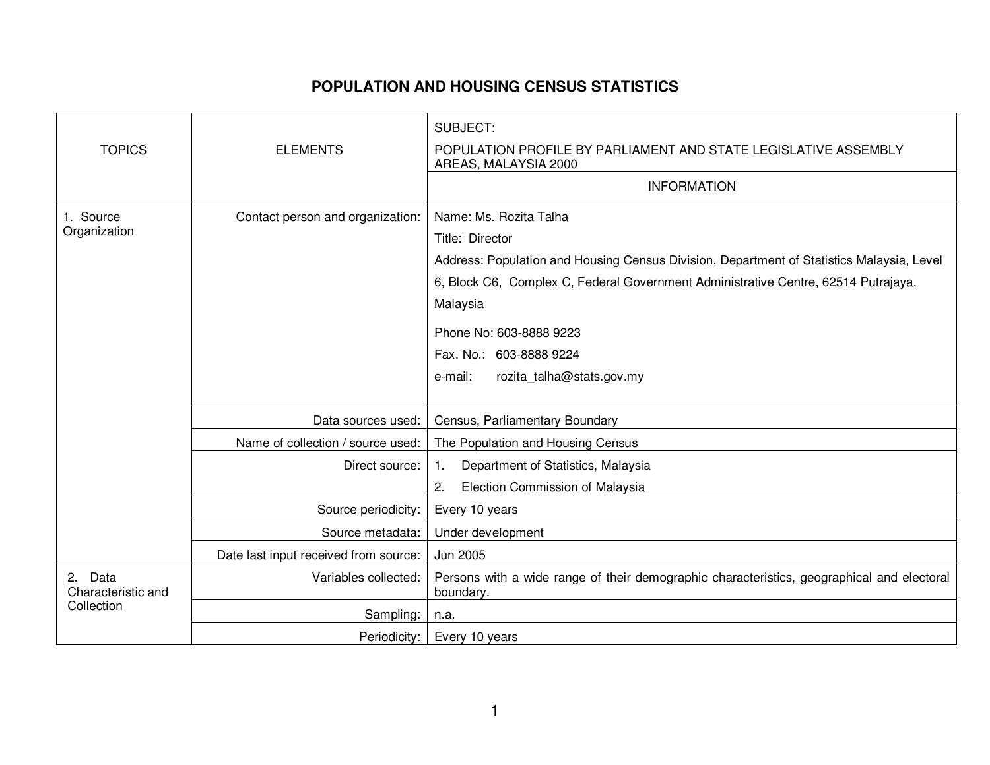## **POPULATION AND HOUSING CENSUS STATISTICS**

|                                             |                                       | SUBJECT:                                                                                                |
|---------------------------------------------|---------------------------------------|---------------------------------------------------------------------------------------------------------|
| <b>TOPICS</b>                               | <b>ELEMENTS</b>                       | POPULATION PROFILE BY PARLIAMENT AND STATE LEGISLATIVE ASSEMBLY<br>AREAS, MALAYSIA 2000                 |
|                                             |                                       | <b>INFORMATION</b>                                                                                      |
| 1. Source<br>Organization                   | Contact person and organization:      | Name: Ms. Rozita Talha                                                                                  |
|                                             |                                       | Title: Director                                                                                         |
|                                             |                                       | Address: Population and Housing Census Division, Department of Statistics Malaysia, Level               |
|                                             |                                       | 6, Block C6, Complex C, Federal Government Administrative Centre, 62514 Putrajaya,                      |
|                                             |                                       | Malaysia                                                                                                |
|                                             |                                       | Phone No: 603-8888 9223                                                                                 |
|                                             |                                       | Fax. No.: 603-8888 9224                                                                                 |
|                                             |                                       | rozita talha@stats.gov.my<br>e-mail:                                                                    |
|                                             |                                       |                                                                                                         |
|                                             | Data sources used:                    | Census, Parliamentary Boundary                                                                          |
|                                             | Name of collection / source used:     | The Population and Housing Census                                                                       |
|                                             | Direct source:                        | Department of Statistics, Malaysia<br>1.                                                                |
|                                             |                                       | 2.<br>Election Commission of Malaysia                                                                   |
|                                             | Source periodicity:                   | Every 10 years                                                                                          |
|                                             | Source metadata:                      | Under development                                                                                       |
|                                             | Date last input received from source: | Jun 2005                                                                                                |
| 2. Data<br>Characteristic and<br>Collection | Variables collected:                  | Persons with a wide range of their demographic characteristics, geographical and electoral<br>boundary. |
|                                             | Sampling:                             | n.a.                                                                                                    |
|                                             | Periodicity:                          | Every 10 years                                                                                          |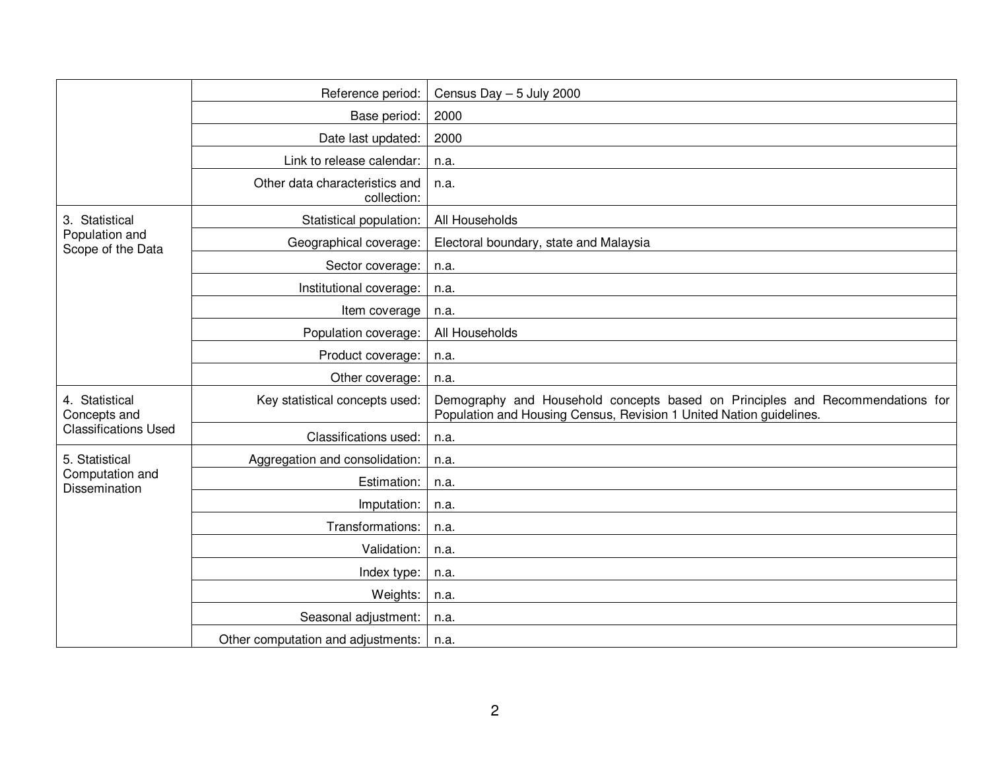|                                                               | Reference period:                             | Census Day $-5$ July 2000                                                                                                                            |
|---------------------------------------------------------------|-----------------------------------------------|------------------------------------------------------------------------------------------------------------------------------------------------------|
|                                                               | Base period:                                  | 2000                                                                                                                                                 |
|                                                               | Date last updated:                            | 2000                                                                                                                                                 |
|                                                               | Link to release calendar:                     | n.a.                                                                                                                                                 |
|                                                               | Other data characteristics and<br>collection: | n.a.                                                                                                                                                 |
| 3. Statistical<br>Population and<br>Scope of the Data         | Statistical population:                       | All Households                                                                                                                                       |
|                                                               | Geographical coverage:                        | Electoral boundary, state and Malaysia                                                                                                               |
|                                                               | Sector coverage:                              | n.a.                                                                                                                                                 |
|                                                               | Institutional coverage:                       | n.a.                                                                                                                                                 |
|                                                               | Item coverage                                 | n.a.                                                                                                                                                 |
|                                                               | Population coverage:                          | All Households                                                                                                                                       |
|                                                               | Product coverage:                             | n.a.                                                                                                                                                 |
|                                                               | Other coverage:                               | n.a.                                                                                                                                                 |
| 4. Statistical<br>Concepts and<br><b>Classifications Used</b> | Key statistical concepts used:                | Demography and Household concepts based on Principles and Recommendations for<br>Population and Housing Census, Revision 1 United Nation guidelines. |
|                                                               | Classifications used:                         | n.a.                                                                                                                                                 |
| 5. Statistical<br>Computation and<br>Dissemination            | Aggregation and consolidation:                | n.a.                                                                                                                                                 |
|                                                               | Estimation:                                   | n.a.                                                                                                                                                 |
|                                                               | Imputation:                                   | n.a.                                                                                                                                                 |
|                                                               | Transformations:                              | n.a.                                                                                                                                                 |
|                                                               | Validation:                                   | n.a.                                                                                                                                                 |
|                                                               | Index type:                                   | n.a.                                                                                                                                                 |
|                                                               | Weights:                                      | n.a.                                                                                                                                                 |
|                                                               | Seasonal adjustment:                          | n.a.                                                                                                                                                 |
|                                                               | Other computation and adjustments:            | n.a.                                                                                                                                                 |